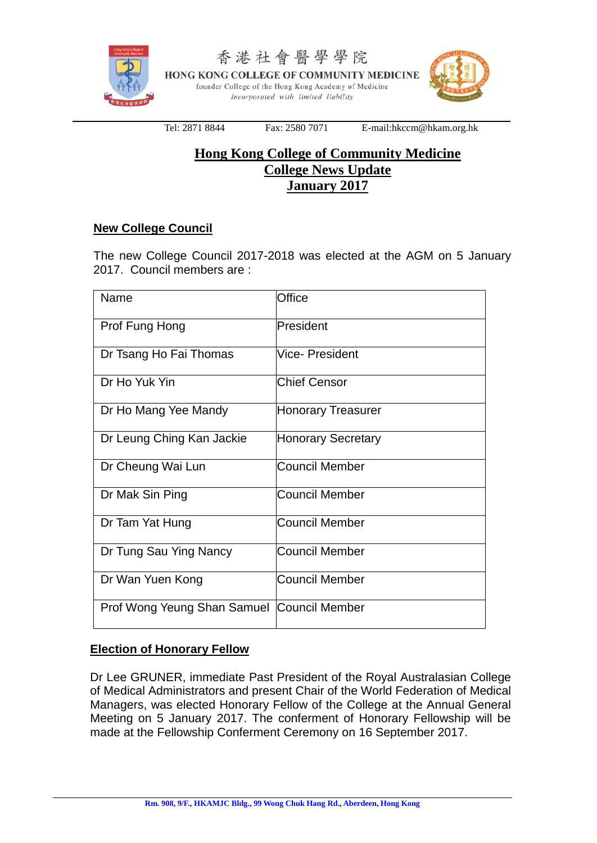

香港社會醫學學院 HONG KONG COLLEGE OF COMMUNITY MEDICINE founder College of the Hong Kong Academy of Medicine Incorporated with limited liability



Tel: 2871 8844 Fax: 2580 7071 E-mail:hkccm@hkam.org.hk

# **Hong Kong College of Community Medicine College News Update January 2017**

# **New College Council**

The new College Council 2017-2018 was elected at the AGM on 5 January 2017. Council members are :

| Name                                         | Office                    |
|----------------------------------------------|---------------------------|
| Prof Fung Hong                               | President                 |
| Dr Tsang Ho Fai Thomas                       | Vice- President           |
| Dr Ho Yuk Yin                                | <b>Chief Censor</b>       |
| Dr Ho Mang Yee Mandy                         | <b>Honorary Treasurer</b> |
| Dr Leung Ching Kan Jackie                    | <b>Honorary Secretary</b> |
| Dr Cheung Wai Lun                            | <b>Council Member</b>     |
| Dr Mak Sin Ping                              | <b>Council Member</b>     |
| Dr Tam Yat Hung                              | Council Member            |
| Dr Tung Sau Ying Nancy                       | <b>Council Member</b>     |
| Dr Wan Yuen Kong                             | <b>Council Member</b>     |
| Prof Wong Yeung Shan Samuel   Council Member |                           |

# **Election of Honorary Fellow**

Dr Lee GRUNER, immediate Past President of the Royal Australasian College of Medical Administrators and present Chair of the World Federation of Medical Managers, was elected Honorary Fellow of the College at the Annual General Meeting on 5 January 2017. The conferment of Honorary Fellowship will be made at the Fellowship Conferment Ceremony on 16 September 2017.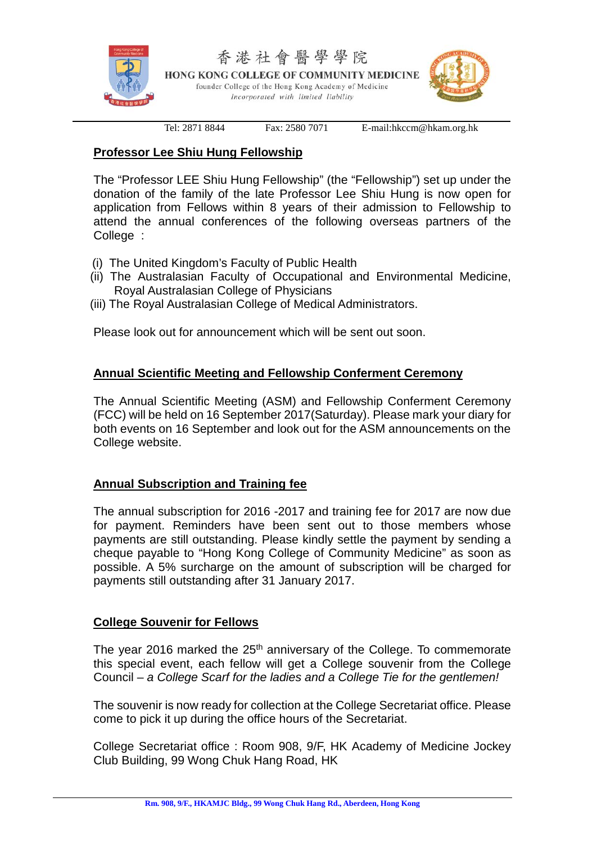

Tel: 2871 8844 Fax: 2580 7071 E-mail:hkccm@hkam.org.hk

# **Professor Lee Shiu Hung Fellowship**

The "Professor LEE Shiu Hung Fellowship" (the "Fellowship") set up under the donation of the family of the late Professor Lee Shiu Hung is now open for application from Fellows within 8 years of their admission to Fellowship to attend the annual conferences of the following overseas partners of the College :

- (i) The United Kingdom's Faculty of Public Health
- (ii) The Australasian Faculty of Occupational and Environmental Medicine, Royal Australasian College of Physicians
- (iii) The Royal Australasian College of Medical Administrators.

Please look out for announcement which will be sent out soon.

# **Annual Scientific Meeting and Fellowship Conferment Ceremony**

The Annual Scientific Meeting (ASM) and Fellowship Conferment Ceremony (FCC) will be held on 16 September 2017(Saturday). Please mark your diary for both events on 16 September and look out for the ASM announcements on the College website.

#### **Annual Subscription and Training fee**

The annual subscription for 2016 -2017 and training fee for 2017 are now due for payment. Reminders have been sent out to those members whose payments are still outstanding. Please kindly settle the payment by sending a cheque payable to "Hong Kong College of Community Medicine" as soon as possible. A 5% surcharge on the amount of subscription will be charged for payments still outstanding after 31 January 2017.

# **College Souvenir for Fellows**

The year 2016 marked the 25<sup>th</sup> anniversary of the College. To commemorate this special event, each fellow will get a College souvenir from the College Council – *a College Scarf for the ladies and a College Tie for the gentlemen!* 

The souvenir is now ready for collection at the College Secretariat office. Please come to pick it up during the office hours of the Secretariat.

College Secretariat office : Room 908, 9/F, HK Academy of Medicine Jockey Club Building, 99 Wong Chuk Hang Road, HK